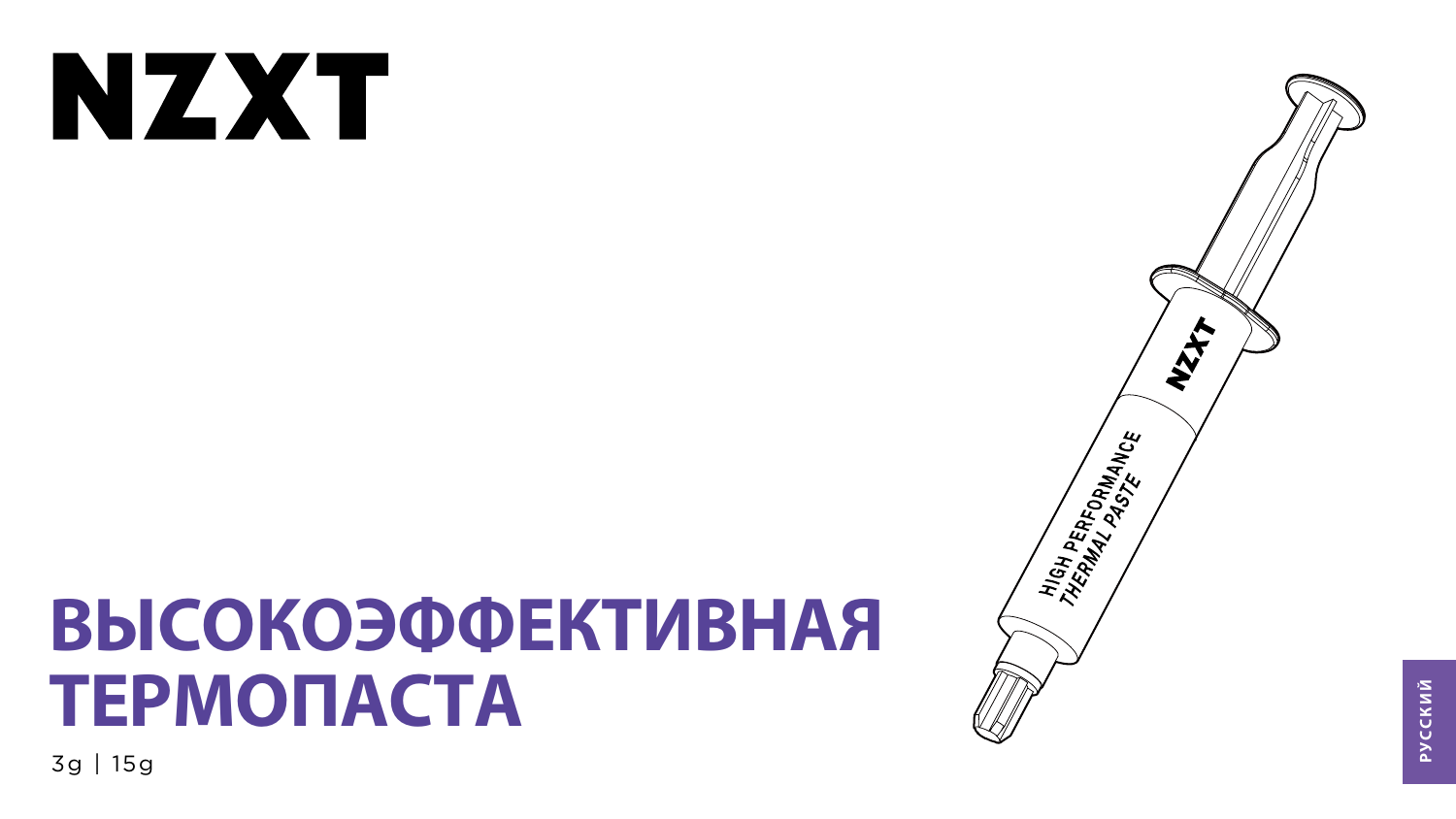# NXX

# ВЫСОКОЭФФЕКТИВНАЯ TEPMONACTA

3g | 15g



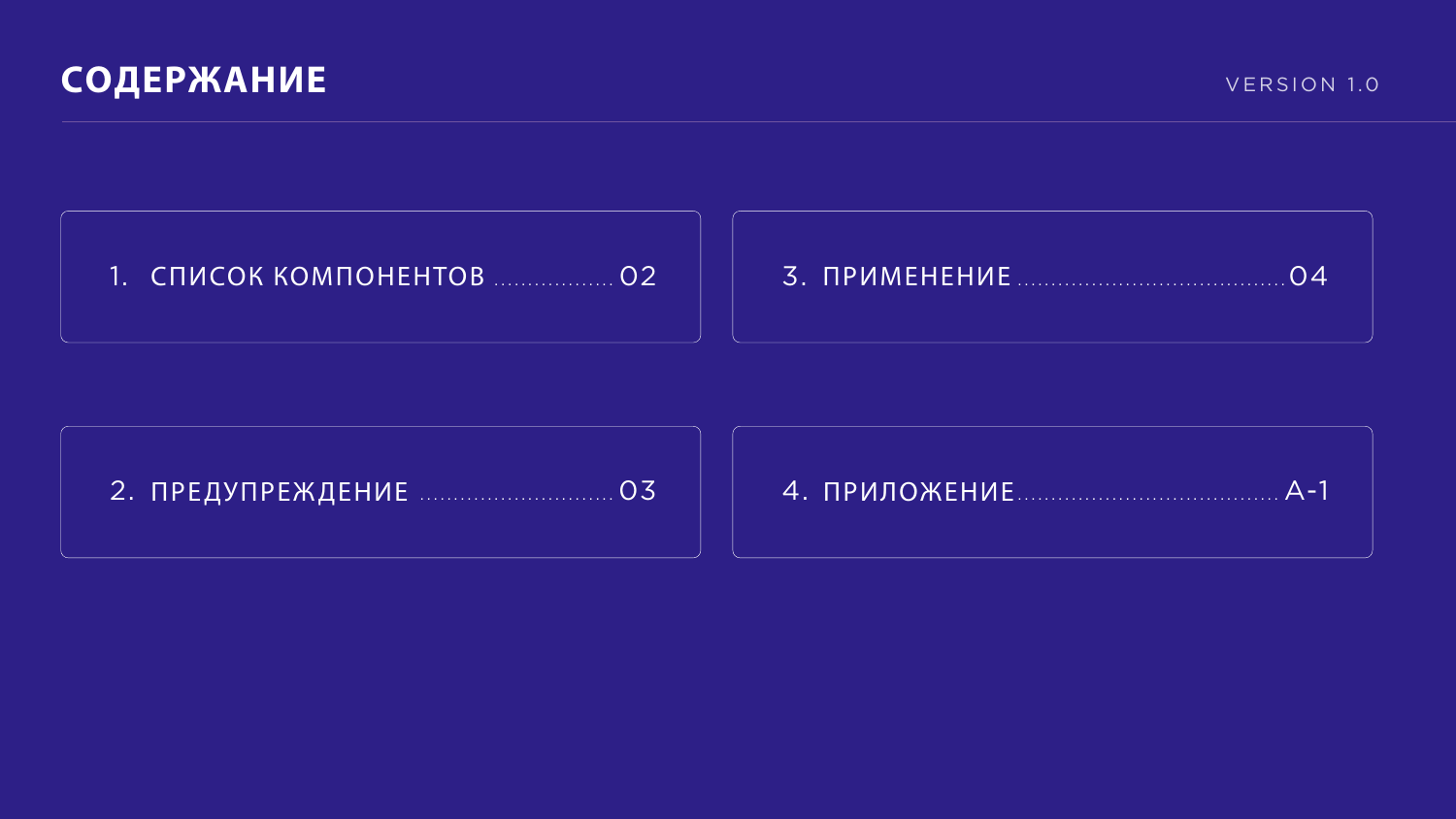

# 





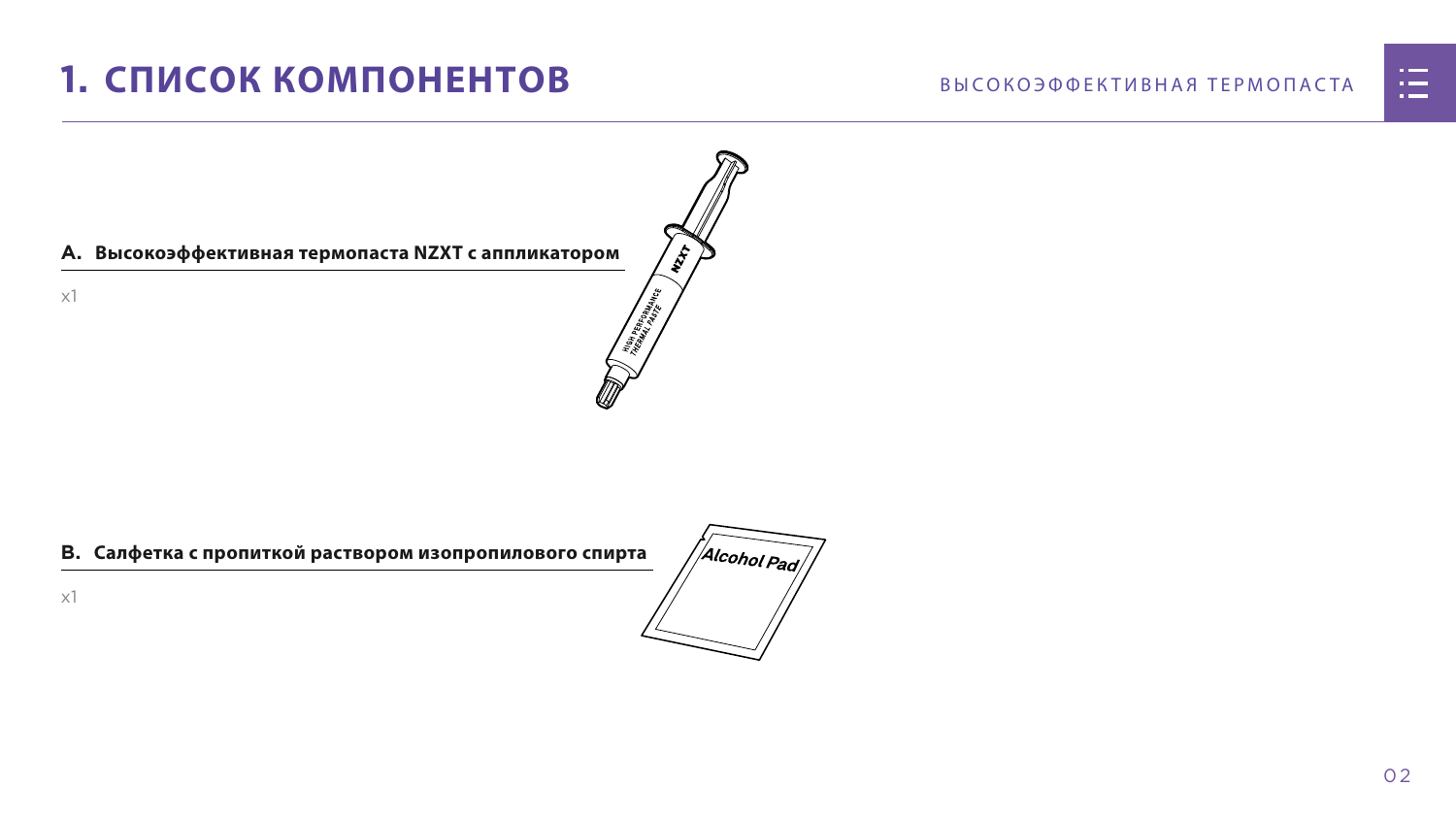# <span id="page-2-0"></span>1. СПИСОК КОМПОНЕНТОВ

#### А. Высокоэффективная термопаста NZXT с аппликатором

 $x1$ 

#### В. Салфетка с пропиткой раствором изопропилового спирта





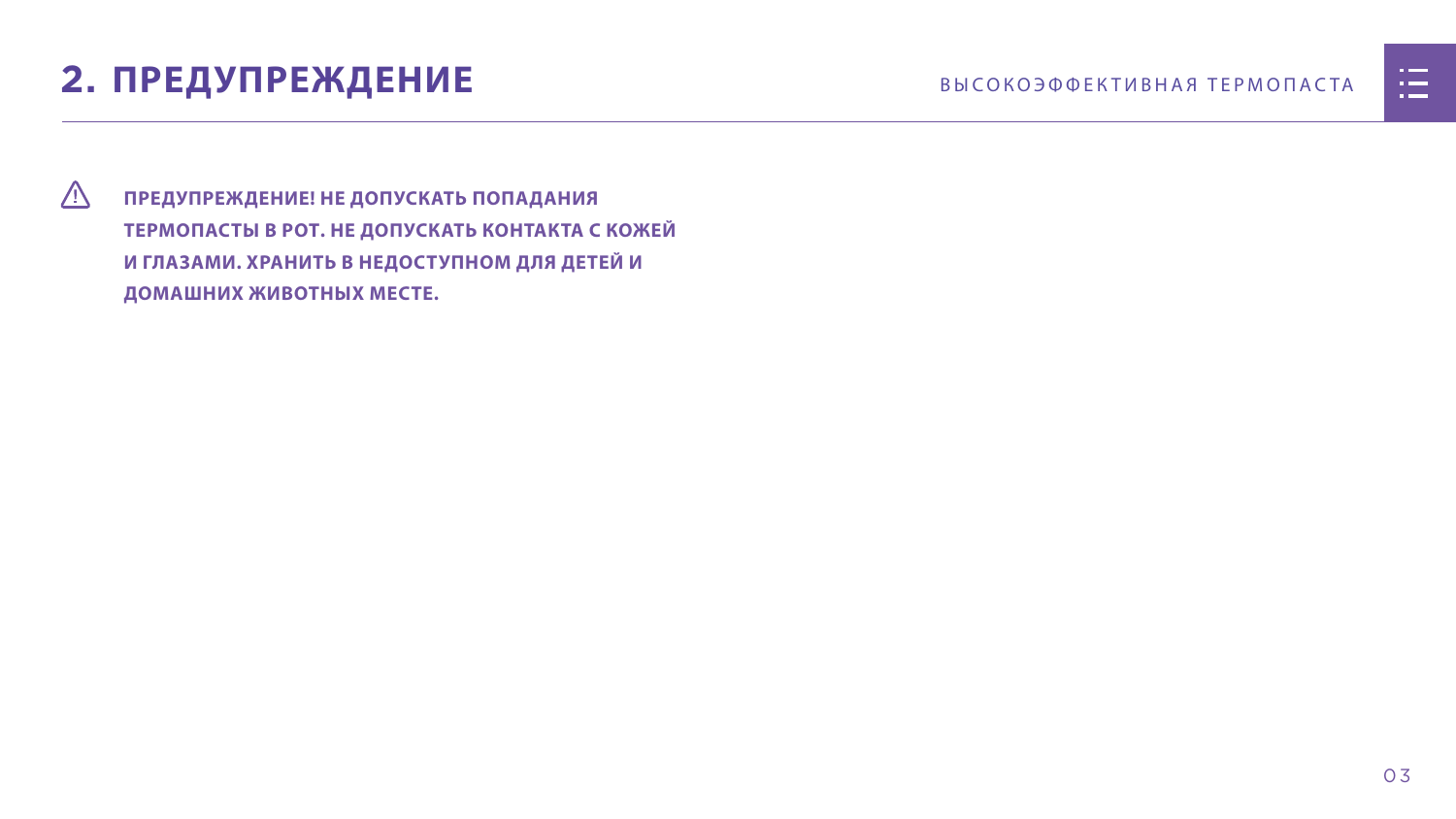03

# <span id="page-3-0"></span>**2. ПРЕДУПРЕЖДЕНИЕ** ВЫСОКОЭФФЕКТИВНАЯ ТЕРМОПАСТА

 **ПРЕДУПРЕЖДЕНИЕ! НЕ ДОПУСКАТЬ ПОПАДАНИЯ ТЕРМОПАСТЫ В РОТ. НЕ ДОПУСКАТЬ КОНТАКТА С КОЖЕЙ И ГЛАЗАМИ. ХРАНИТЬ В НЕДОСТУПНОМ ДЛЯ ДЕТЕЙ И ДОМАШНИХ ЖИВОТНЫХ МЕСТЕ.**

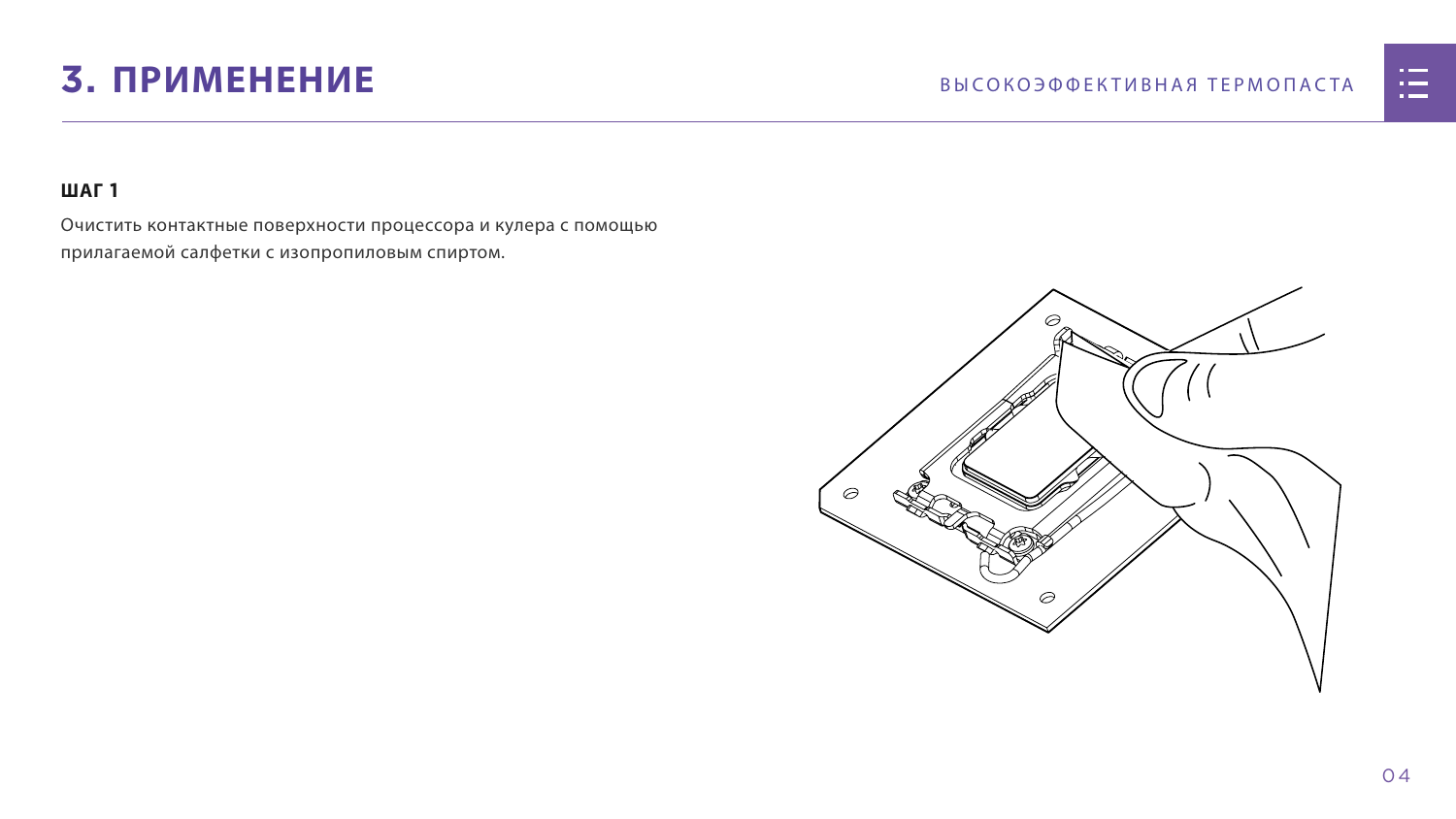# <span id="page-4-0"></span>3. ПРИМЕНЕНИЕ

## **ШАГ1**

Очистить контактные поверхности процессора и кулера с помощью прилагаемой салфетки с изопропиловым спиртом.



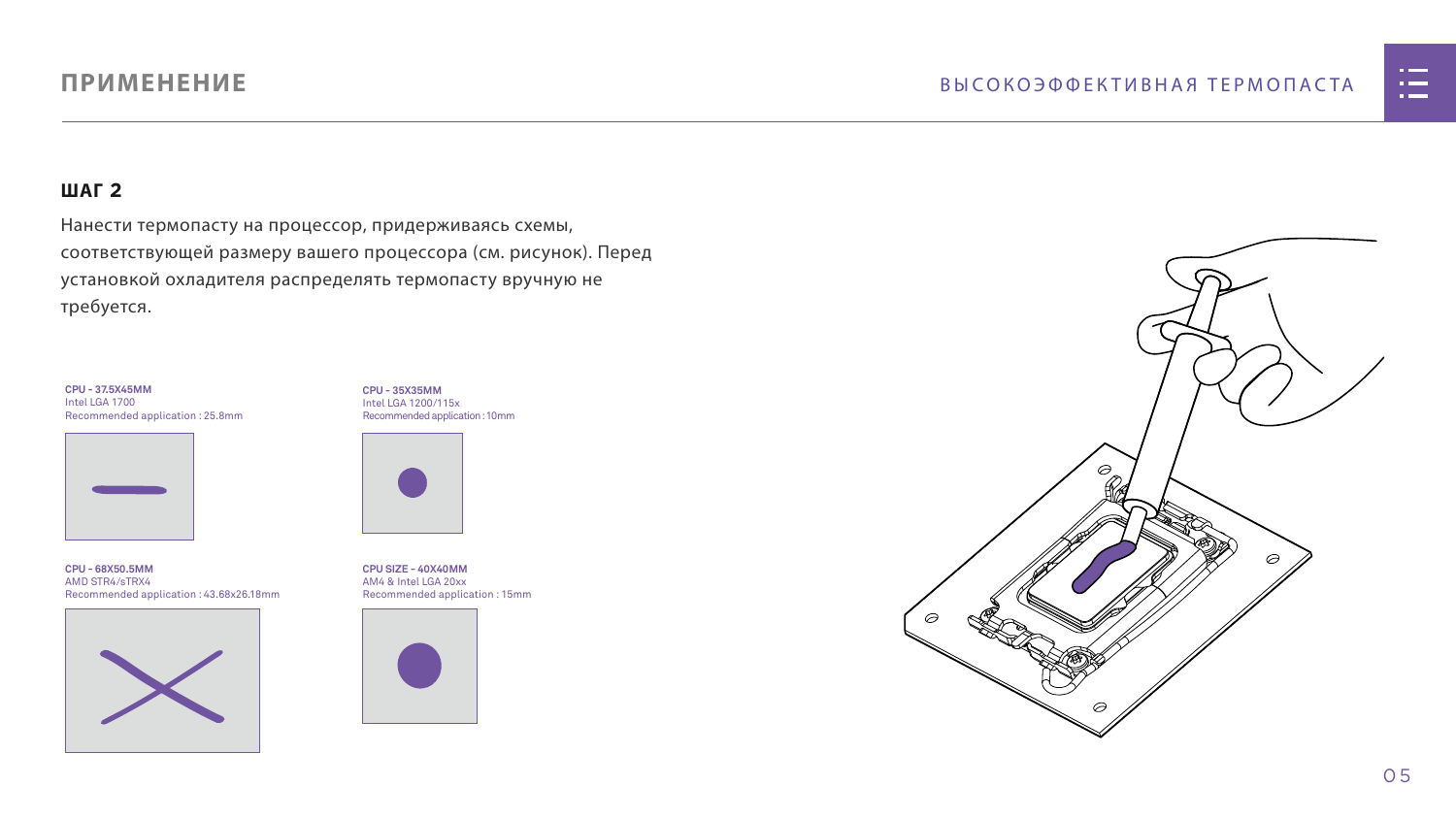0 5

#### **ШАГ 2**

Нанести термопасту на процессор, придерживаясь схемы, соответствующей размеру вашего процессора (см. рисунок). Перед установкой охладителя распределять термопасту вручную не требуется.

# **ПРИМЕНЕНИЕ**

**CPU - 35X35MM** Intel LGA 1200/115x Recommended application : 10mm



**CPU SIZE - 40X40MM** AM4 & Intel LGA 20xx Recommended application : 15mm







**CPU - 68X50.5MM** AMD STR4/sTRX4 Recommended application : 43.68x26.18mm



**CPU - 37.5X45MM** Intel LGA 1700 Recommended application : 25.8mm

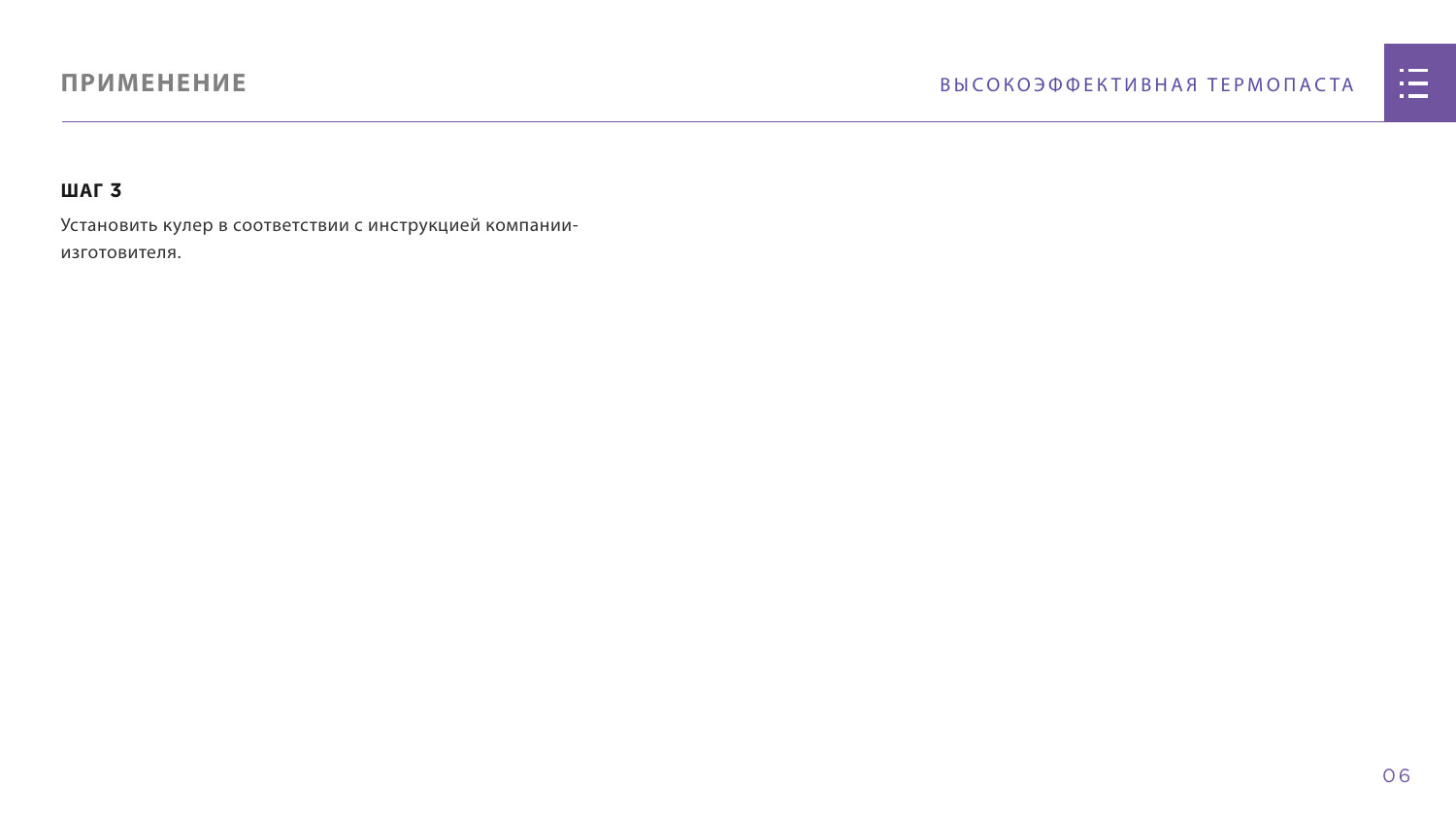# **ПРИМЕНЕНИЕ**

#### **ШАГ 3**

Установить кулер в соответствии с инструкцией компанииизготовителя.

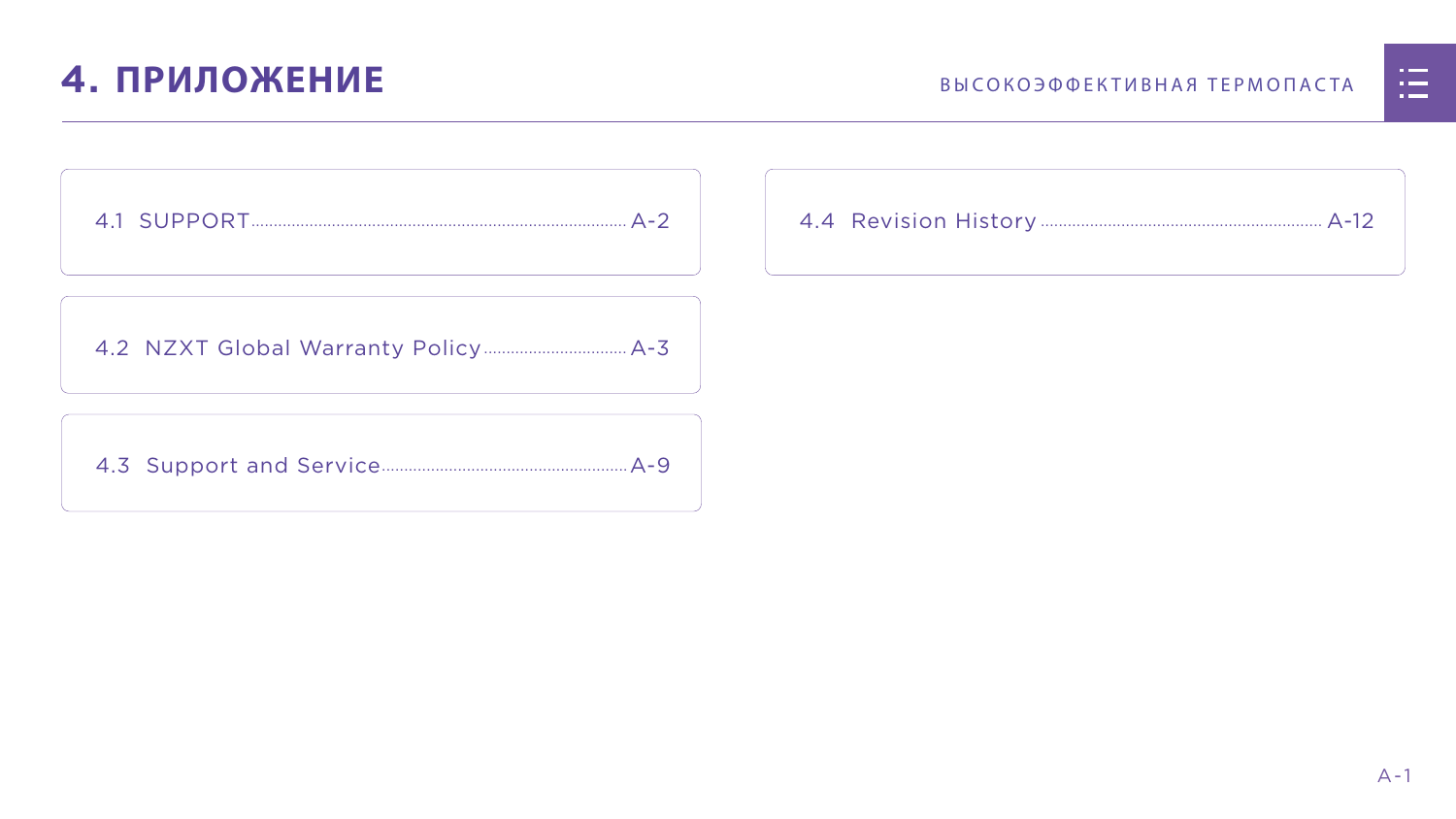

# <span id="page-7-0"></span>**4. ПРИЛОЖЕНИЕ** ВЫСОКОЭФФЕКТИВНАЯ ТЕРМОПАСТА

[4.2 NZXT Global Warranty Policy................................](#page-9-0) A-3

[4.3 Support and Service.......................................................A-9](#page-15-0)



|  | <u>n in de la</u>                                                                                                     |  |
|--|-----------------------------------------------------------------------------------------------------------------------|--|
|  | <u>ra masa</u>                                                                                                        |  |
|  | <u>a shekara ta 1989, a shekara ta 1989, a shekara ta 1989, a shekara ta 1989, a shekara ta 1989, a shekara ta 19</u> |  |
|  |                                                                                                                       |  |
|  |                                                                                                                       |  |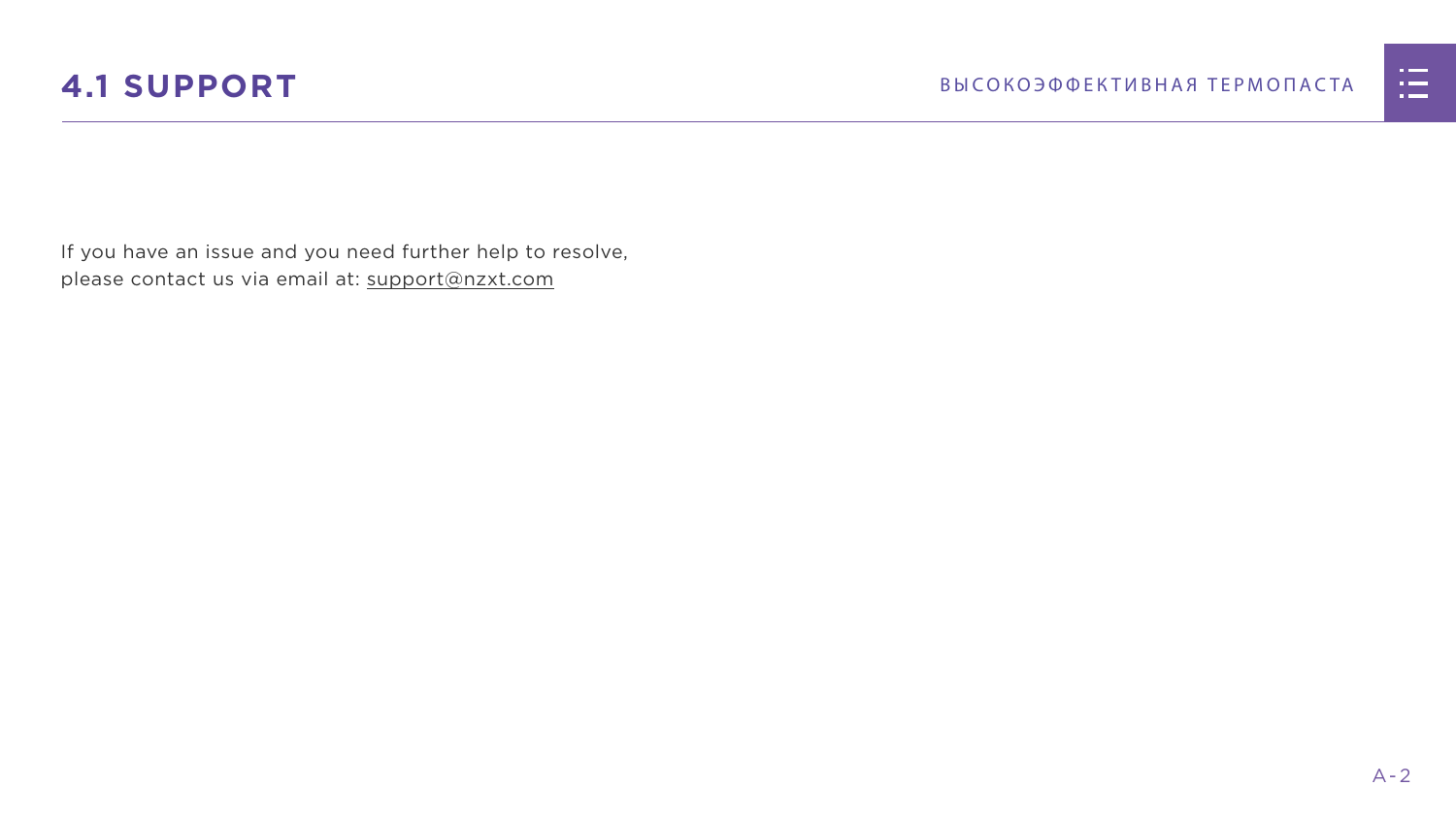

<span id="page-8-0"></span>If you have an issue and you need further help to resolve, please contact us via email at: support@nzxt.com

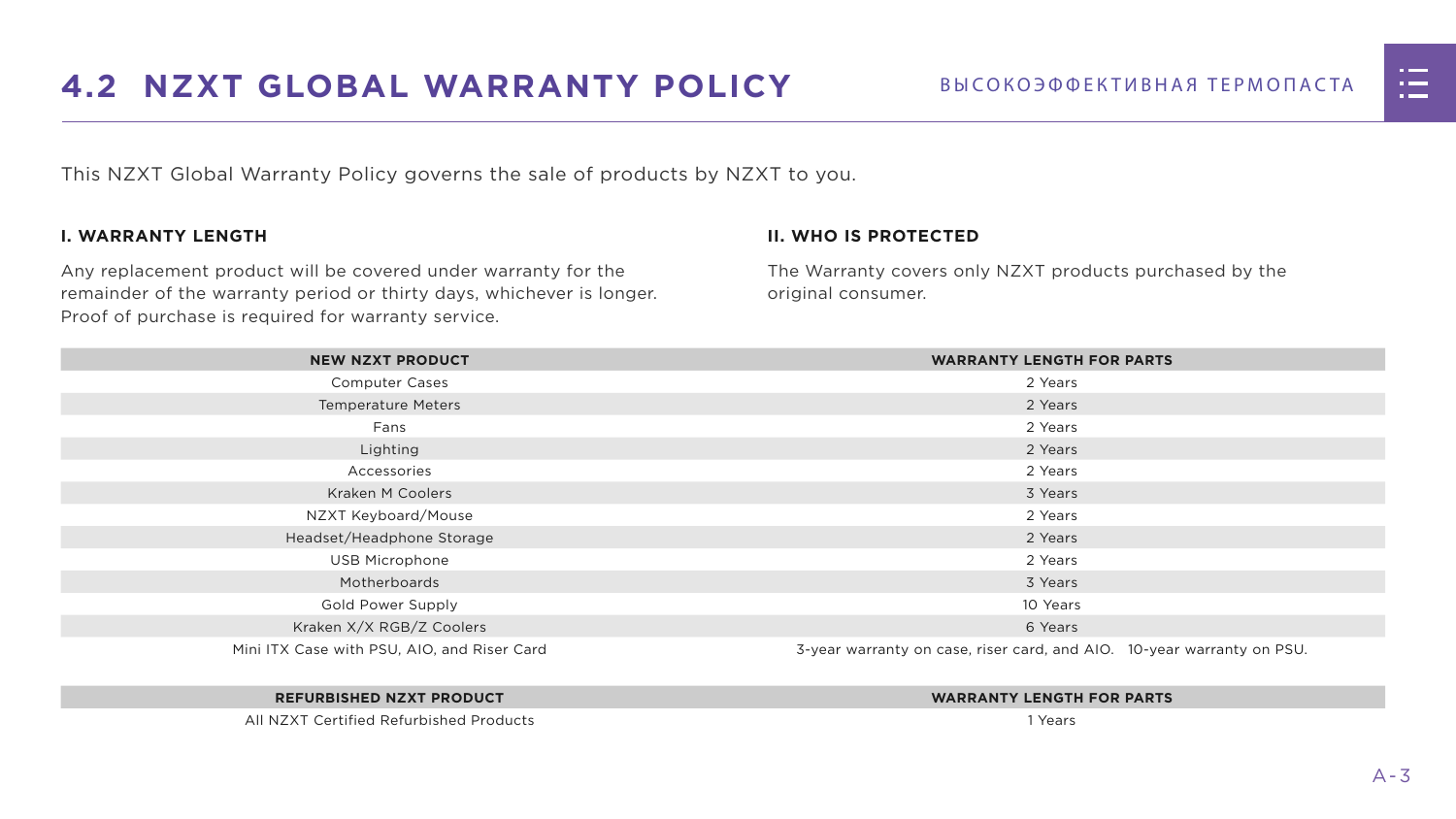



# <span id="page-9-0"></span>**4.2 NZXT GLOBAL WARRANTY POLICY** ВЫСОКОЭФФЕКТИВНАЯ ТЕРМОПАСТА

This NZXT Global Warranty Policy governs the sale of products by NZXT to you.

#### **I. WARRANTY LENGTH**

Any replacement product will be covered under warranty for the remainder of the warranty period or thirty days, whichever is longer. Proof of purchase is required for warranty service.

#### **II. WHO IS PROTECTED**

The Warranty covers only NZXT products purchased by the original consumer.

| <b>NEW NZXT PRODUCT</b>                     | <b>WARRANTY LENGTH FOR PARTS</b>                                       |  |  |
|---------------------------------------------|------------------------------------------------------------------------|--|--|
| <b>Computer Cases</b>                       | 2 Years                                                                |  |  |
| <b>Temperature Meters</b>                   | 2 Years                                                                |  |  |
| Fans                                        | 2 Years                                                                |  |  |
| Lighting                                    | 2 Years                                                                |  |  |
| Accessories                                 | 2 Years                                                                |  |  |
| <b>Kraken M Coolers</b>                     | 3 Years                                                                |  |  |
| NZXT Keyboard/Mouse                         | 2 Years                                                                |  |  |
| Headset/Headphone Storage                   | 2 Years                                                                |  |  |
| <b>USB Microphone</b>                       | 2 Years                                                                |  |  |
| Motherboards                                | 3 Years                                                                |  |  |
| <b>Gold Power Supply</b>                    | 10 Years                                                               |  |  |
| Kraken X/X RGB/Z Coolers                    | 6 Years                                                                |  |  |
| Mini ITX Case with PSU, AIO, and Riser Card | 3-year warranty on case, riser card, and AIO. 10-year warranty on PSU. |  |  |

#### **REFURBISHED NZXT PRODUCT WARRANTY LENGTH FOR PARTS**





All NZXT Certified Refurbished Products 1 Years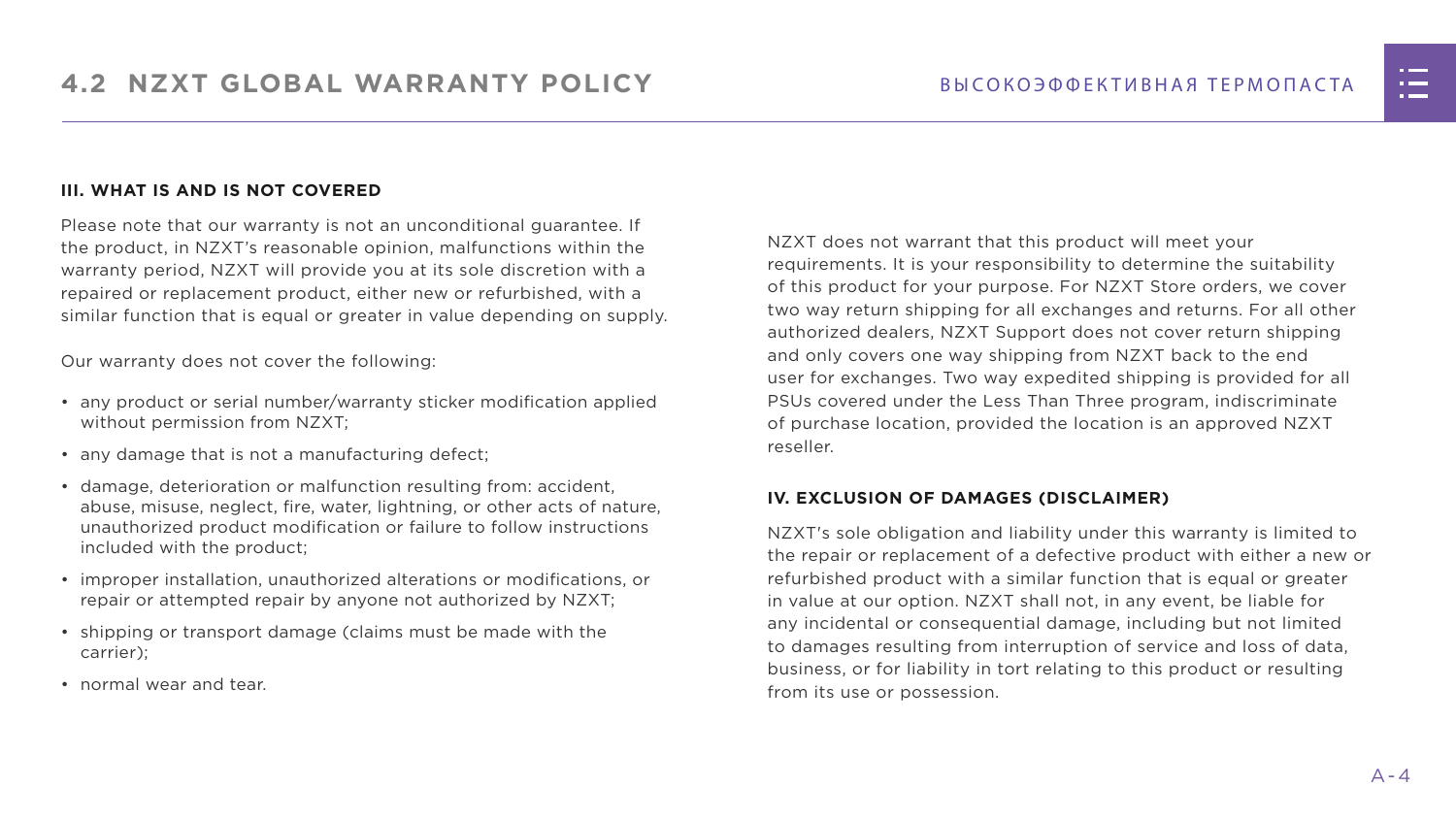#### **III. WHAT IS AND IS NOT COVERED**

Please note that our warranty is not an unconditional guarantee. If the product, in NZXT's reasonable opinion, malfunctions within the warranty period, NZXT will provide you at its sole discretion with a repaired or replacement product, either new or refurbished, with a similar function that is equal or greater in value depending on supply.

Our warranty does not cover the following:

- any product or serial number/warranty sticker modification applied without permission from NZXT;
- any damage that is not a manufacturing defect;
- damage, deterioration or malfunction resulting from: accident, abuse, misuse, neglect, fire, water, lightning, or other acts of nature, unauthorized product modification or failure to follow instructions included with the product;
- improper installation, unauthorized alterations or modifications, or repair or attempted repair by anyone not authorized by NZXT;
- shipping or transport damage (claims must be made with the carrier);
- normal wear and tear.

NZXT does not warrant that this product will meet your requirements. It is your responsibility to determine the suitability of this product for your purpose. For NZXT Store orders, we cover two way return shipping for all exchanges and returns. For all other authorized dealers, NZXT Support does not cover return shipping and only covers one way shipping from NZXT back to the end user for exchanges. Two way expedited shipping is provided for all PSUs covered under the Less Than Three program, indiscriminate of purchase location, provided the location is an approved NZXT reseller.

#### **IV. EXCLUSION OF DAMAGES (DISCLAIMER)**

NZXT's sole obligation and liability under this warranty is limited to the repair or replacement of a defective product with either a new or refurbished product with a similar function that is equal or greater in value at our option. NZXT shall not, in any event, be liable for any incidental or consequential damage, including but not limited to damages resulting from interruption of service and loss of data, business, or for liability in tort relating to this product or resulting from its use or possession.

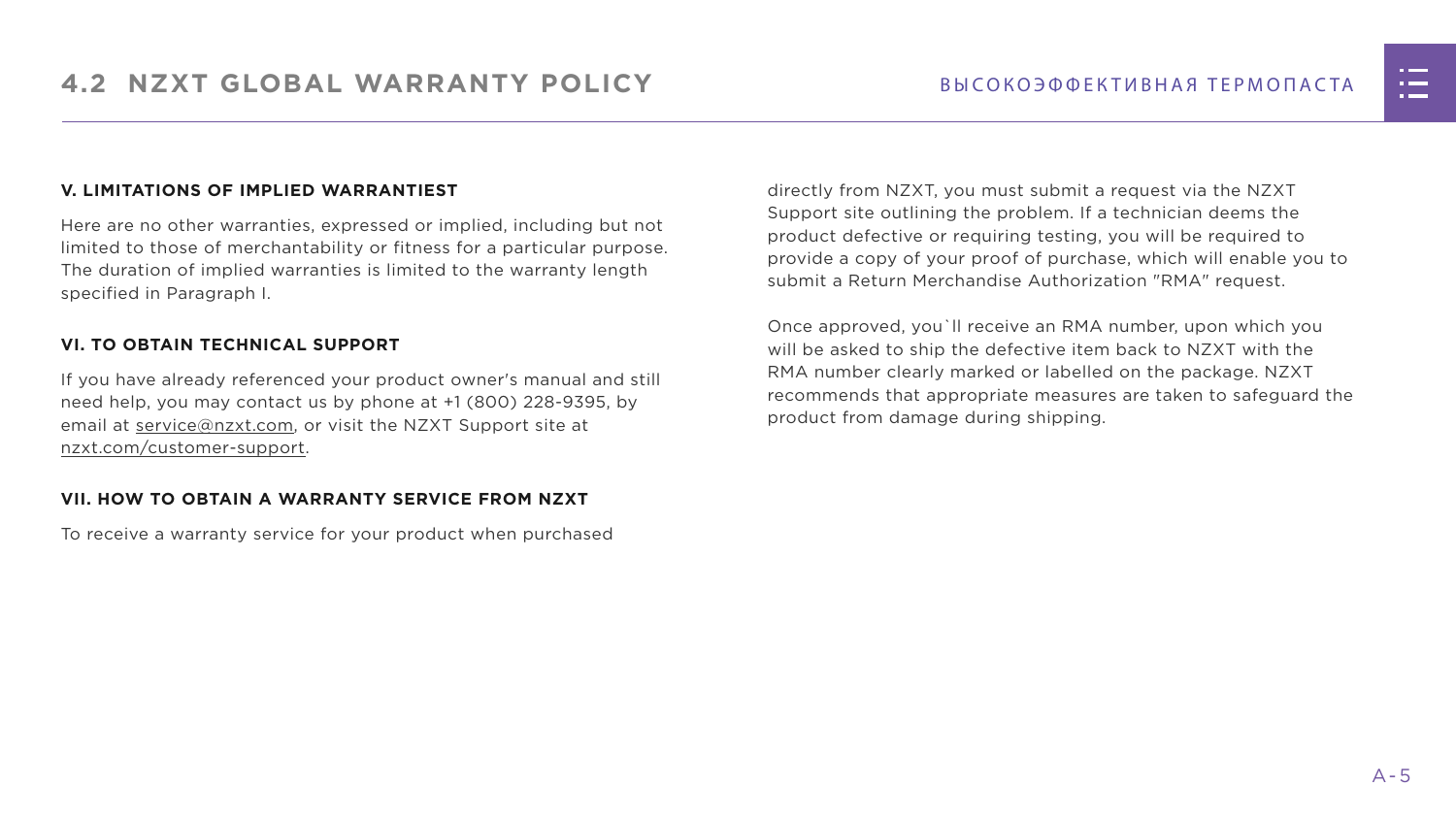#### **V. LIMITATIONS OF IMPLIED WARRANTIEST**

Here are no other warranties, expressed or implied, including but not limited to those of merchantability or fitness for a particular purpose. The duration of implied warranties is limited to the warranty length specified in Paragraph I.

#### **VI. TO OBTAIN TECHNICAL SUPPORT**

If you have already referenced your product owner's manual and still need help, you may contact us by phone at +1 (800) 228-9395, by email at [service@nzxt.com](mailto:service%40nzxt.com?subject=), or visit the NZXT Support site at [nzxt.com/customer-support.](http://nzxt.com/customer-support)

#### **VII. HOW TO OBTAIN A WARRANTY SERVICE FROM NZXT**

To receive a warranty service for your product when purchased

directly from NZXT, you must submit a request via the NZXT Support site outlining the problem. If a technician deems the product defective or requiring testing, you will be required to provide a copy of your proof of purchase, which will enable you to submit a Return Merchandise Authorization "RMA" request.

Once approved, you`ll receive an RMA number, upon which you will be asked to ship the defective item back to NZXT with the RMA number clearly marked or labelled on the package. NZXT recommends that appropriate measures are taken to safeguard the product from damage during shipping.

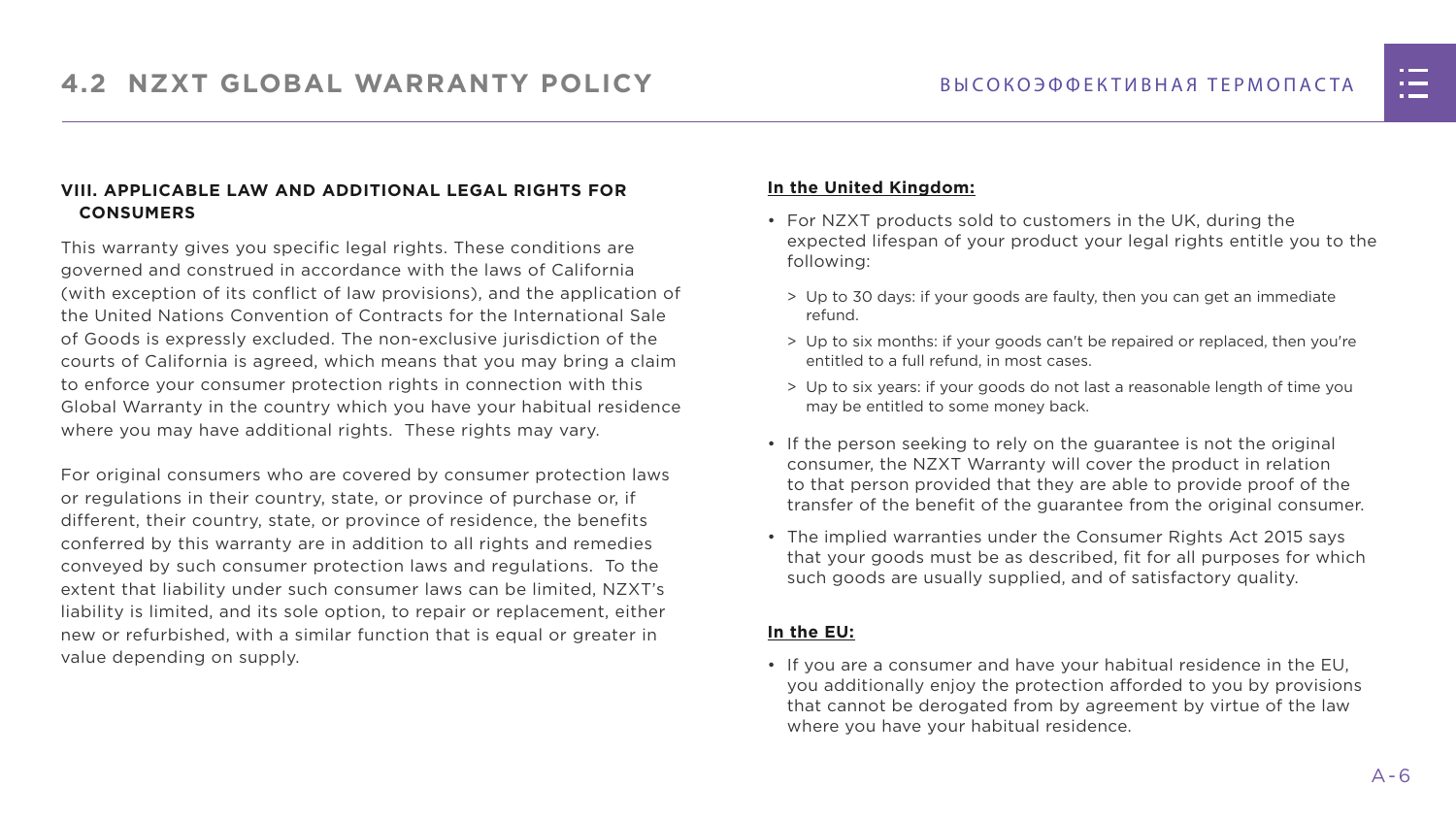#### **VIII. APPLICABLE LAW AND ADDITIONAL LEGAL RIGHTS FOR CONSUMERS**

This warranty gives you specific legal rights. These conditions are governed and construed in accordance with the laws of California (with exception of its conflict of law provisions), and the application of the United Nations Convention of Contracts for the International Sale of Goods is expressly excluded. The non-exclusive jurisdiction of the courts of California is agreed, which means that you may bring a claim to enforce your consumer protection rights in connection with this Global Warranty in the country which you have your habitual residence where you may have additional rights. These rights may vary.

For original consumers who are covered by consumer protection laws or regulations in their country, state, or province of purchase or, if different, their country, state, or province of residence, the benefits conferred by this warranty are in addition to all rights and remedies conveyed by such consumer protection laws and regulations. To the extent that liability under such consumer laws can be limited, NZXT's liability is limited, and its sole option, to repair or replacement, either new or refurbished, with a similar function that is equal or greater in value depending on supply.

#### **In the United Kingdom:**

- For NZXT products sold to customers in the UK, during the expected lifespan of your product your legal rights entitle you to the following:
	- > Up to 30 days: if your goods are faulty, then you can get an immediate refund.
	- > Up to six months: if your goods can't be repaired or replaced, then you're entitled to a full refund, in most cases.
	- > Up to six years: if your goods do not last a reasonable length of time you may be entitled to some money back.
- If the person seeking to rely on the guarantee is not the original consumer, the NZXT Warranty will cover the product in relation to that person provided that they are able to provide proof of the transfer of the benefit of the guarantee from the original consumer.
- The implied warranties under the Consumer Rights Act 2015 says that your goods must be as described, fit for all purposes for which such goods are usually supplied, and of satisfactory quality.

#### **In the EU:**

• If you are a consumer and have your habitual residence in the EU, you additionally enjoy the protection afforded to you by provisions that cannot be derogated from by agreement by virtue of the law where you have your habitual residence.

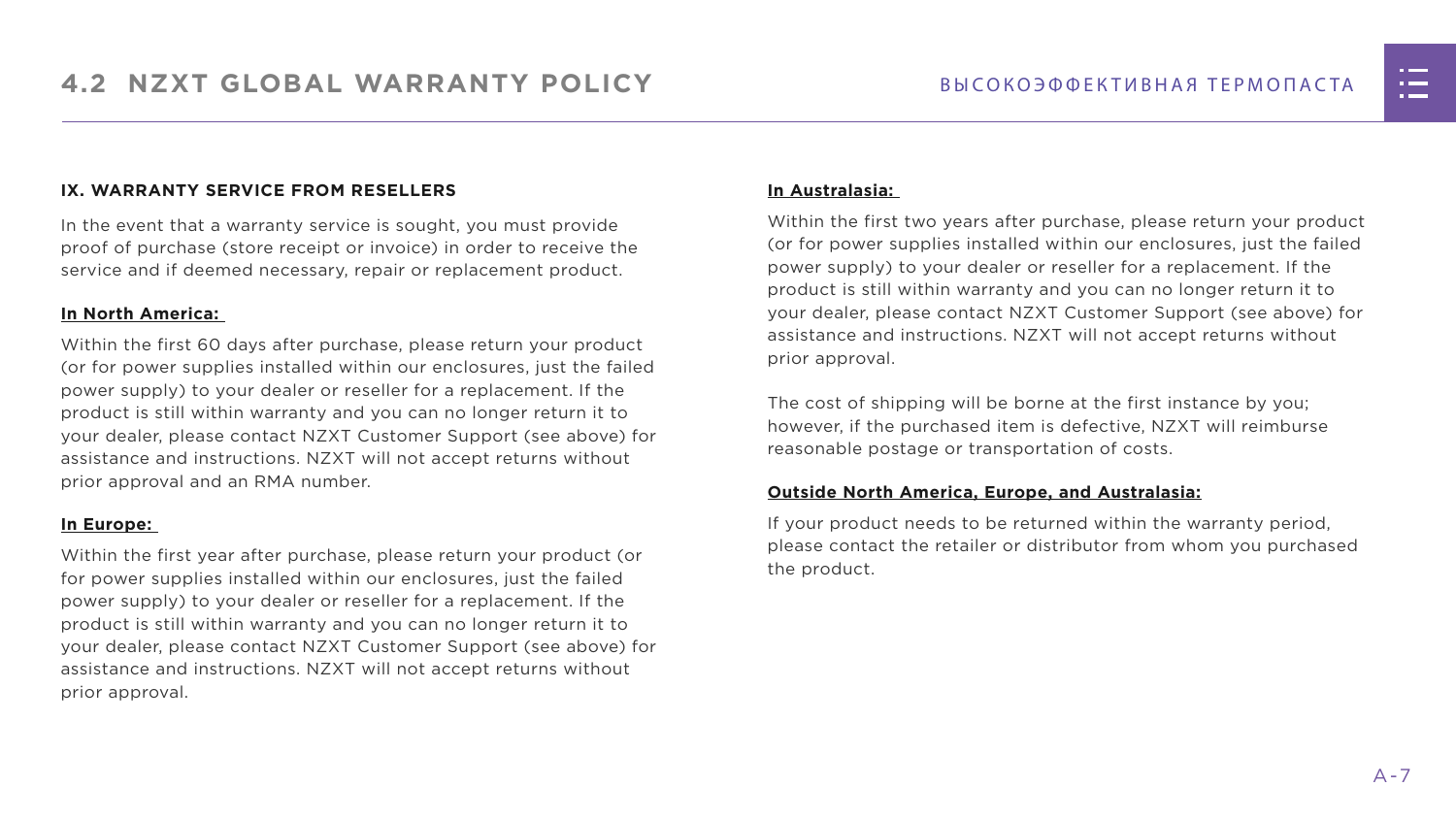#### **IX. WARRANTY SERVICE FROM RESELLERS**

In the event that a warranty service is sought, you must provide proof of purchase (store receipt or invoice) in order to receive the service and if deemed necessary, repair or replacement product.

#### **In North America:**

Within the first 60 days after purchase, please return your product (or for power supplies installed within our enclosures, just the failed power supply) to your dealer or reseller for a replacement. If the product is still within warranty and you can no longer return it to your dealer, please contact NZXT Customer Support (see above) for assistance and instructions. NZXT will not accept returns without prior approval and an RMA number.

#### **In Europe:**

Within the first year after purchase, please return your product (or for power supplies installed within our enclosures, just the failed power supply) to your dealer or reseller for a replacement. If the product is still within warranty and you can no longer return it to your dealer, please contact NZXT Customer Support (see above) for assistance and instructions. NZXT will not accept returns without prior approval.

#### **In Australasia:**

Within the first two years after purchase, please return your product (or for power supplies installed within our enclosures, just the failed power supply) to your dealer or reseller for a replacement. If the product is still within warranty and you can no longer return it to your dealer, please contact NZXT Customer Support (see above) for assistance and instructions. NZXT will not accept returns without prior approval.

The cost of shipping will be borne at the first instance by you; however, if the purchased item is defective, NZXT will reimburse reasonable postage or transportation of costs.

#### **Outside North America, Europe, and Australasia:**

If your product needs to be returned within the warranty period, please contact the retailer or distributor from whom you purchased the product.

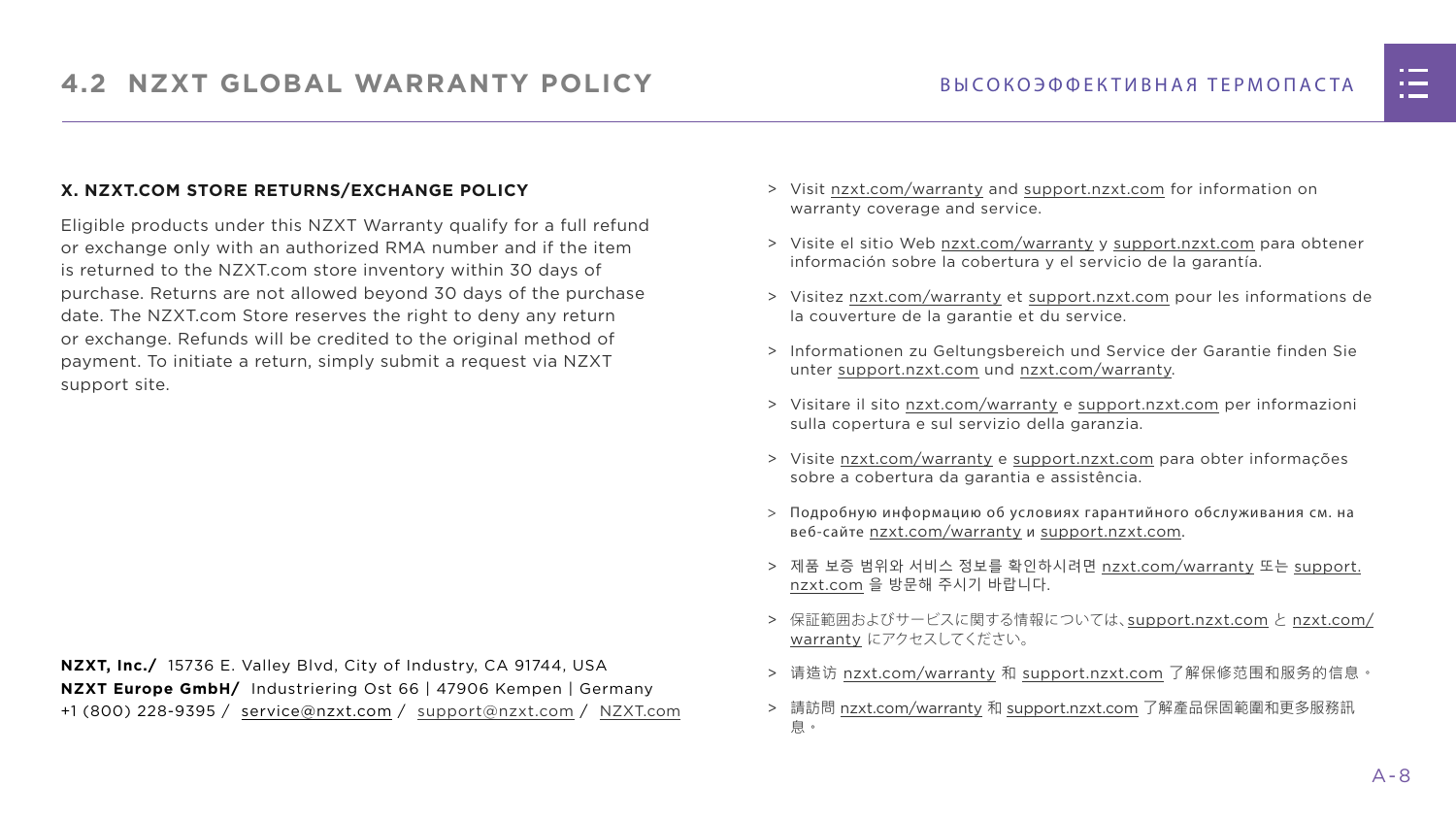#### **X. NZXT.COM STORE RETURNS/EXCHANGE POLICY**

Eligible products under this NZXT Warranty qualify for a full refund or exchange only with an authorized RMA number and if the item is returned to the NZXT.com store inventory within 30 days of purchase. Returns are not allowed beyond 30 days of the purchase date. The NZXT.com Store reserves the right to deny any return or exchange. Refunds will be credited to the original method of payment. To initiate a return, simply submit a request via NZXT support site.

- > Visit [nzxt.com/warranty](http://nzxt.com/warranty) and [support.nzxt.com](http://support.nzxt.com) for information on warranty coverage and service.
- > Visite el sitio Web [nzxt.com/warranty](http://nzxt.com/warranty) y [support.nzxt.com](http://support.nzxt.com) para obtener información sobre la cobertura y el servicio de la garantía.
- > Visitez [nzxt.com/warranty](http://nzxt.com/warranty) et [support.nzxt.com](http://support.nzxt.com) pour les informations de la couverture de la garantie et du service.
- > Informationen zu Geltungsbereich und Service der Garantie finden Sie unter [support.nzxt.com](http://support.nzxt.com) und [nzxt.com/warranty.](http://nzxt.com/warranty)
- > Visitare il sito [nzxt.com/warranty](http://nzxt.com/warranty) e [support.nzxt.com](http://support.nzxt.com) per informazioni sulla copertura e sul servizio della garanzia.
- > Visite [nzxt.com/warranty](http://nzxt.com/warranty) e [support.nzxt.com](http://support.nzxt.com) para obter informações sobre a cobertura da garantia e assistência.
- > Подробную информацию об условиях гарантийного обслуживания см. на веб-сайте [nzxt.com/warranty](http://nzxt.com/warranty) и [support.nzxt.com](http://support.nzxt.com).
- > 제품 보증 범위와 서비스 정보를 확인하시려면 [nzxt.com/warranty](http://nzxt.com/warranty) 또는 [support.](http://support.nzxt.com) [nzxt.com](http://support.nzxt.com) 을 방문해 주시기 바랍니다.
- > 保証範囲およびサービスに関する情報については、[support.nzxt.com](http://support.nzxt.com) と [nzxt.com/](http://nzxt.com/warranty) [warranty](http://nzxt.com/warranty) にアクセスしてください。
- > 请造访 nzxt.com/warranty 和 [support.nzxt.com](http://support.nzxt.com) 了解保修范围和服务的信息。
- > 請訪問 [nzxt.com/warranty](http://nzxt.com/warranty) 和 [support.nzxt.com](http://support.nzxt.com) 了解產品保固範圍和更多服務訊 息。



**NZXT, Inc./** 15736 E. Valley Blvd, City of Industry, CA 91744, USA **NZXT Europe GmbH/** Industriering Ost 66 | 47906 Kempen | Germany +1 (800) 228-9395 / service@nzxt.com / [support@nzxt.com](mailto:support%40nzxt.com?subject=) / NZX[T.com](http://nzxt.com)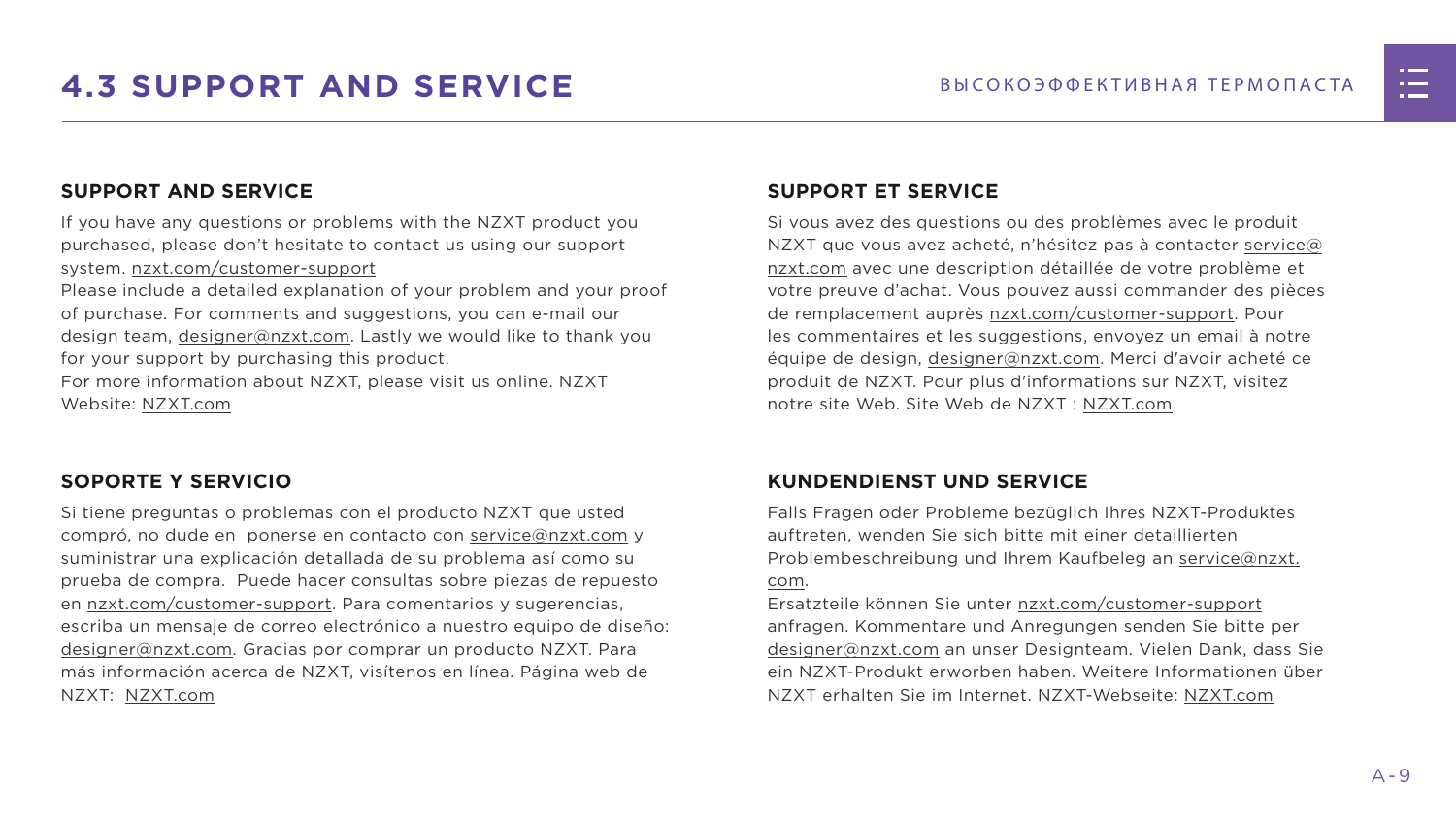

# <span id="page-15-0"></span>**4.3 SUPPORT AND SERVICE** ВЫСОКОЭФФЕКТИВНАЯ ТЕРМОПАСТА

## **SUPPORT AND SERVICE**

If you have any questions or problems with the NZXT product you purchased, please don't hesitate to contact us using our support system. [nzxt.com/customer-support](http://nzxt.com/customer-support)

Please include a detailed explanation of your problem and your proof of purchase. For comments and suggestions, you can e-mail our design team, [designer@nzxt.com.](mailto:designer%40nzxt.com?subject=) Lastly we would like to thank you for your support by purchasing this product.

For more information about NZXT, please visit us online. NZXT Website: NZX[T.com](http://nzxt.com)

## **SOPORTE Y SERVICIO**

Si tiene preguntas o problemas con el producto NZXT que usted compró, no dude en ponerse en contacto con [service@nzxt.com](mailto:service%40nzxt.com?subject=) y suministrar una explicación detallada de su problema así como su prueba de compra. Puede hacer consultas sobre piezas de repuesto en [nzxt.com/customer-support.](http://nzxt.com/customer-support) Para comentarios y sugerencias, escriba un mensaje de correo electrónico a nuestro equipo de diseño: [designer@nzxt.com.](mailto:designer%40nzxt.com?subject=) Gracias por comprar un producto NZXT. Para más información acerca de NZXT, visítenos en línea. Página web de NZXT: NZX[T.com](http://nzxt.com)

### **SUPPORT ET SERVICE**

Si vous avez des questions ou des problèmes avec le produit NZXT que vous avez acheté, n'hésitez pas à contacter service@ nzxt.com avec une description détaillée de votre problème et votre preuve d'achat. Vous pouvez aussi commander des pièces de remplacement auprès [nzxt.com/customer-support.](http://nzxt.com/customer-support) Pour les commentaires et les suggestions, envoyez un email à notre équipe de design, [designer@nzxt.com.](mailto:designer%40nzxt.com?subject=) Merci d'avoir acheté ce produit de NZXT. Pour plus d'informations sur NZXT, visitez notre site Web. Site Web de NZXT : NZX[T.com](http://nzxt.com)

## **KUNDENDIENST UND SERVICE**

Falls Fragen oder Probleme bezüglich Ihres NZXT-Produktes auftreten, wenden Sie sich bitte mit einer detaillierten Problembeschreibung und Ihrem Kaufbeleg an [service@nzxt.](mailto:service%40nzxt.com?subject=) [com](mailto:service%40nzxt.com?subject=).

Ersatzteile können Sie unter [nzxt.com/customer-support](http://nzxt.com/customer-support) anfragen. Kommentare und Anregungen senden Sie bitte per [designer@nzxt.com](mailto:designer%40nzxt.com?subject=) an unser Designteam. Vielen Dank, dass Sie ein NZXT-Produkt erworben haben. Weitere Informationen über NZXT erhalten Sie im Internet. NZXT-Webseite: NZX[T.com](http://nzxt.com)

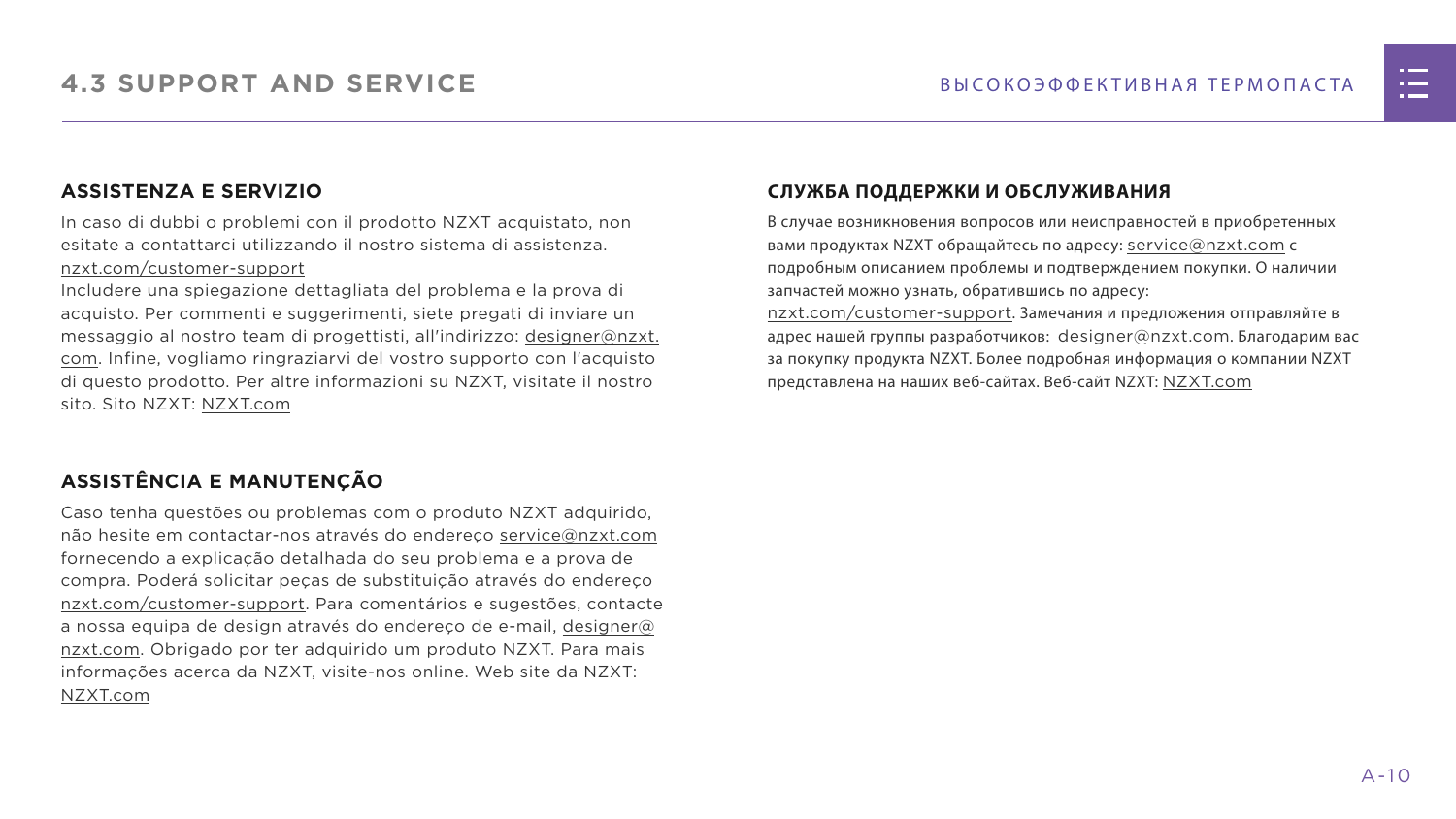## **ASSISTENZA E SERVIZIO**

In caso di dubbi o problemi con il prodotto NZXT acquistato, non esitate a contattarci utilizzando il nostro sistema di assistenza. [nzxt.com/customer-support](http://nzxt.com/customer-support)

Includere una spiegazione dettagliata del problema e la prova di acquisto. Per commenti e suggerimenti, siete pregati di inviare un messaggio al nostro team di progettisti, all'indirizzo: [designer@nzxt.](mailto:designer%40nzxt.com?subject=) [com](mailto:designer%40nzxt.com?subject=). Infine, vogliamo ringraziarvi del vostro supporto con l'acquisto di questo prodotto. Per altre informazioni su NZXT, visitate il nostro sito. Sito NZXT: NZX[T.com](http://nzxt.com)

В случае возникновения вопросов или неисправностей в приобретенных вами продуктах NZXT обращайтесь по адресу: [service@nzxt.com](mailto:service%40nzxt.com?subject=) с подробным описанием проблемы и подтверждением покупки. О наличии запчастей можно узнать, обратившись по адресу: [nzxt.com/customer-support](http://nzxt.com/customer-support). Замечания и предложения отправляйте в адрес нашей группы разработчиков: [designer@nzxt.com](mailto:designer%40nzxt.com?subject=). Благодарим вас

## **ASSISTÊNCIA E MANUTENÇÃO**

Caso tenha questões ou problemas com o produto NZXT adquirido, não hesite em contactar-nos através do endereço [service@nzxt.com](mailto:service%40nzxt.com?subject=) fornecendo a explicação detalhada do seu problema e a prova de compra. Poderá solicitar peças de substituição através do endereço [nzxt.com/customer-support.](http://nzxt.com/customer-support) Para comentários e sugestões, contacte a nossa equipa de design através do endereço de e-mail, [designer@](mailto:designer%40nzxt.com?subject=) [nzxt.com.](mailto:designer%40nzxt.com?subject=) Obrigado por ter adquirido um produto NZXT. Para mais informações acerca da NZXT, visite-nos online. Web site da NZXT: NZX[T.com](http://nzxt.com)

### **СЛУЖБА ПОДДЕРЖКИ И ОБСЛУЖИВАНИЯ**

за покупку продукта NZXT. Более подробная информация о компании NZXT представлена на наших веб-сайтах. Веб-сайт NZXT: NZX[T.com](http://nzxt.com)

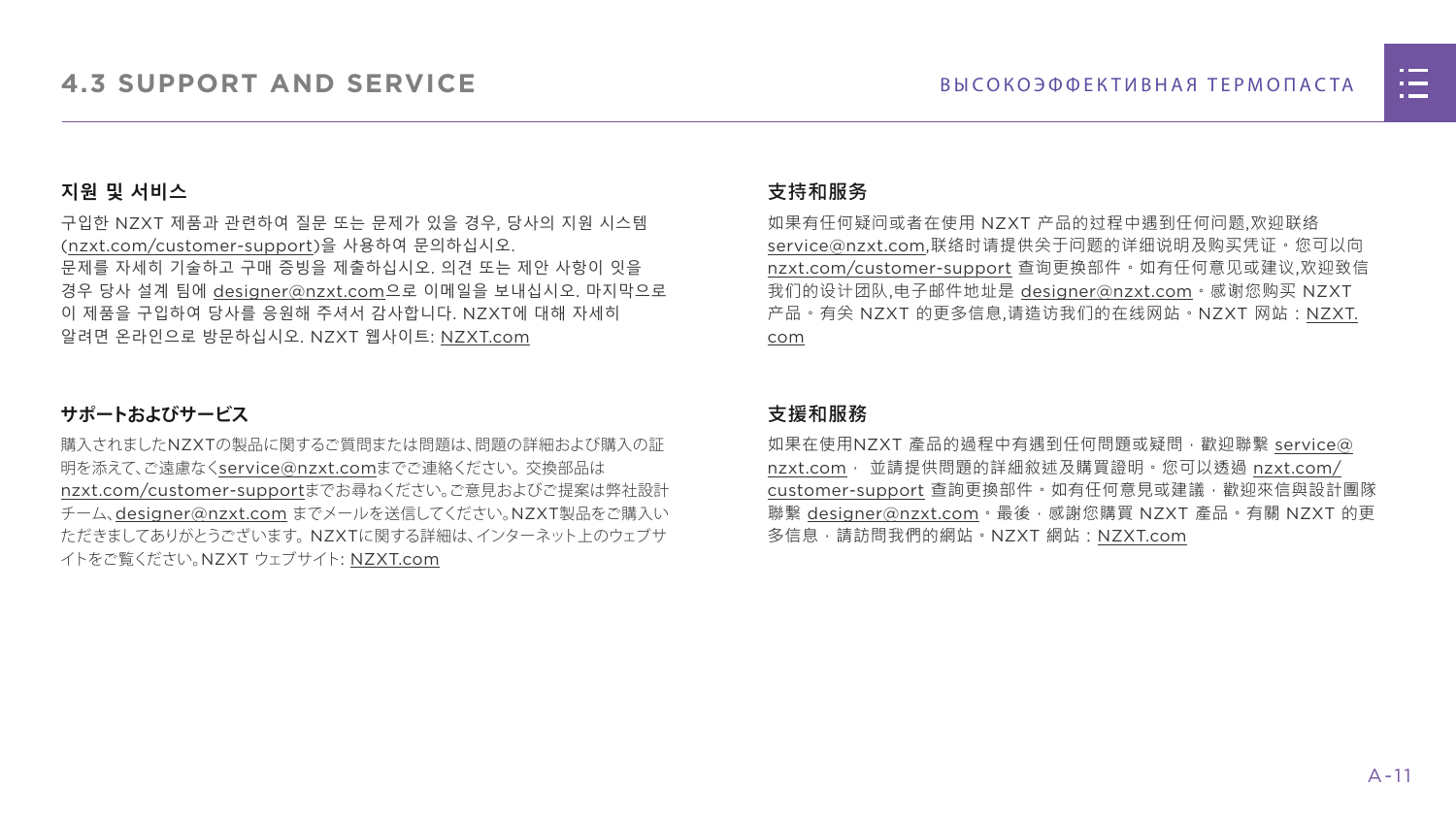

#### **지원 및 서비스**

구입한 NZXT 제품과 관련하여 질문 또는 문제가 있을 경우, 당사의 지원 시스템 ([nzxt.com/customer-support\)](http://nzxt.com/customer-support)을 사용하여 문의하십시오. 문제를 자세히 기술하고 구매 증빙을 제출하십시오. 의견 또는 제안 사항이 잇을 경우 당사 설계 팀에 [designer@nzxt.com](mailto:designer%40nzxt.com?subject=)으로 이메일을 보내십시오. 마지막으로 이 제품을 구입하여 당사를 응원해 주셔서 감사합니다. NZXT에 대해 자세히 알려면 온라인으로 방문하십시오. NZXT 웹사이트: NZX[T.com](http://nzxt.com)

#### **サポートおよびサービス**

購入されましたNZXTの製品に関するご質問または問題は、問題の詳細および購入の証 明を添えて、ご遠慮なく[service@nzxt.com](mailto:service%40nzxt.com?subject=)までご連絡ください。交換部品は [nzxt.com/customer-support](http://nzxt.com/customer-support)までお尋ねください。ご意見およびご提案は弊社設計 チーム、[designer@nzxt.com](mailto:designer%40nzxt.com?subject=) までメールを送信してください。NZXT製品をご購入い ただきましてありがとうございます。 NZXTに関する詳細は、インターネット上のウェブサ イトをご覧ください。NZXT ウェブサイト: NZX[T.com](http://nzxt.com)

#### **支持和服务**

如果有任何疑问或者在使用 NZXT 产品的过程中遇到任何问题,欢迎联络 [service@nzxt.com,](mailto:service%40nzxt.com?subject=)联络时请提供关于问题的详细说明及购买凭证。您可以向 [nzxt.com/customer-support](http://nzxt.com/customer-support) 查询更换部件。如有任何意见或建议,欢迎致信 我们的设计团队,电子邮件地址是 designer@nzxt.com。感谢您购买 NZXT 产品。有关 NZXT 的更多信息,请造访我们的在线网站。NZXT 网站:NZX[T.](http://nzxt.com) [com](http://nzxt.com)

#### **支援和服務**

如果在使用NZXT 產品的過程中有遇到任何問題或疑問, 歡迎聯繫 [service@](mailto:service%40nzxt.com?subject=) [nzxt.com](mailto:service%40nzxt.com?subject=), 並請提供問題的詳細敘述及購買證明。您可以透過 [nzxt.com/](http://nzxt.com/customer-support) [customer-support](http://nzxt.com/customer-support) 查詢更換部件。如有任何意見或建議,歡迎來信與設計團隊 聯繫 designer@nzxt.com。最後,感謝您購買 NZXT 產品。有關 NZXT 的更 多信息,請訪問我們的網站。NZXT 網站: NZXT.com